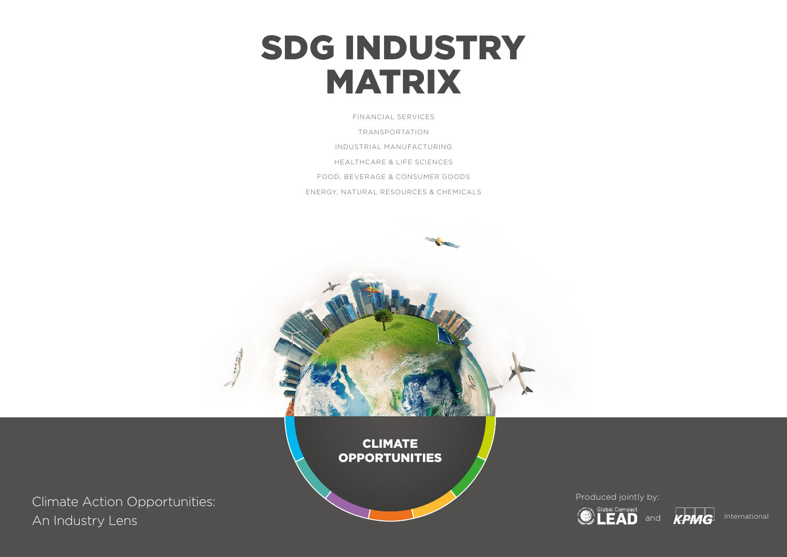# SDG INDUSTRY MATRIX

HEALTHCARE & LIFE SCIENCES FOOD, BEVERAGE & CONSUMER GOODS ENERGY, NATURAL RESOURCES & CHEMICALS INDUSTRIAL MANUFACTURING TRANSPORTATION FINANCIAL SERVICES

Climate Action Opportunities: An Industry Lens

CLIMATE **OPPORTUNITIES** 

Produced jointly by:



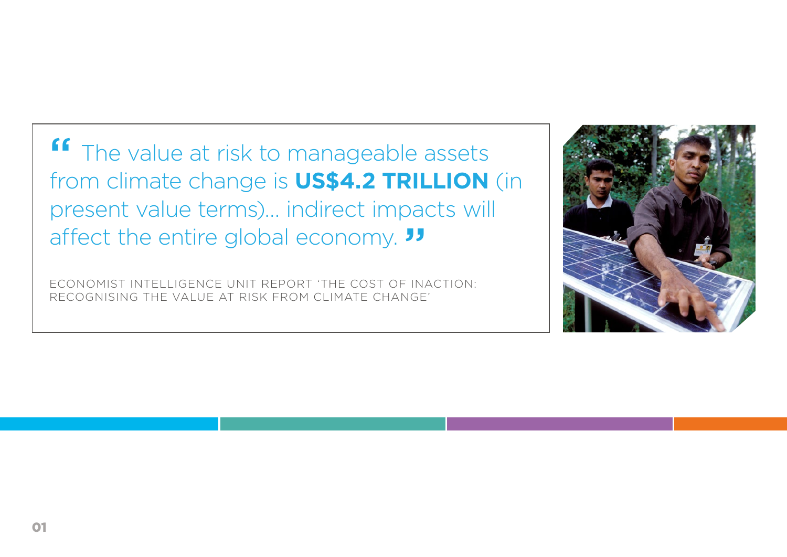**"** The value at risk to manageable assets from climate change is **US\$4.2 TRILLION** (in present value terms)… indirect impacts will affect the entire global economy. "

ECONOMIST INTELLIGENCE UNIT REPORT 'THE COST OF INACTION: RECOGNISING THE VALUE AT RISK FROM CLIMATE CHANGE'

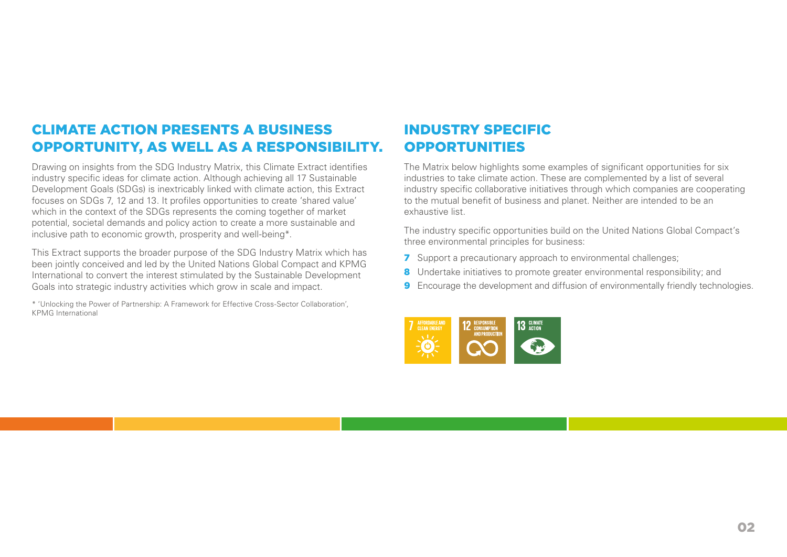## CLIMATE ACTION PRESENTS A BUSINESS OPPORTUNITY, AS WELL AS A RESPONSIBILITY.

Drawing on insights from the SDG Industry Matrix, this Climate Extract identifies industry specific ideas for climate action. Although achieving all 17 Sustainable Development Goals (SDGs) is inextricably linked with climate action, this Extract focuses on SDGs 7, 12 and 13. It profiles opportunities to create 'shared value' which in the context of the SDGs represents the coming together of market potential, societal demands and policy action to create a more sustainable and inclusive path to economic growth, prosperity and well-being\*.

This Extract supports the broader purpose of the SDG Industry Matrix which has been jointly conceived and led by the United Nations Global Compact and KPMG International to convert the interest stimulated by the Sustainable Development Goals into strategic industry activities which grow in scale and impact.

\* 'Unlocking the Power of Partnership: A Framework for Effective Cross-Sector Collaboration', KPMG International

## INDUSTRY SPECIFIC **OPPORTUNITIES**

The Matrix below highlights some examples of significant opportunities for six industries to take climate action. These are complemented by a list of several industry specific collaborative initiatives through which companies are cooperating to the mutual benefit of business and planet. Neither are intended to be an exhaustive list.

The industry specific opportunities build on the United Nations Global Compact's three environmental principles for business:

- **7** Support a precautionary approach to environmental challenges;
- 8 Undertake initiatives to promote greater environmental responsibility; and
- 9 Encourage the development and diffusion of environmentally friendly technologies.

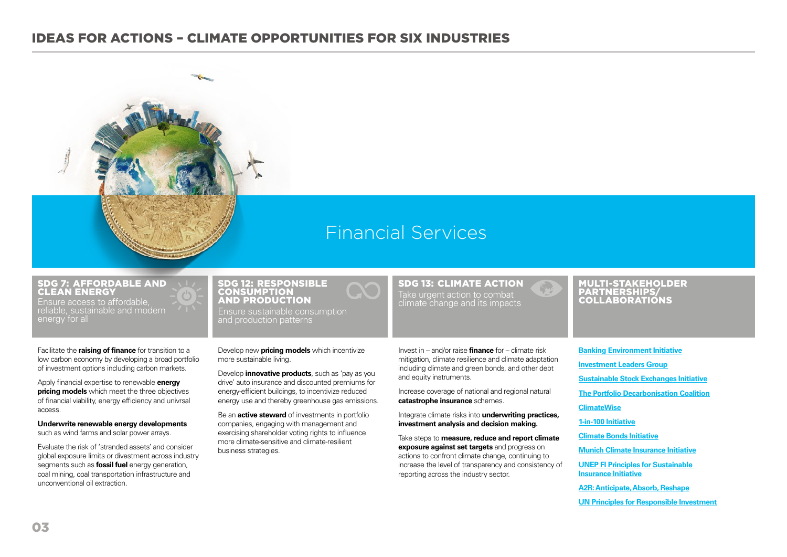

## Financial Services

#### SDG 7: AFFORDABLE AND CLEAN ENERGY

Ensure access to affordable, reliable, sustainable and modern energy for all

Facilitate the **raising of finance** for transition to a low carbon economy by developing a broad portfolio of investment options including carbon markets.

Apply financial expertise to renewable **energy pricing models** which meet the three objectives of financial viability, energy efficiency and univrsal access.

**Underwrite renewable energy developments** such as wind farms and solar power arrays.

Evaluate the risk of 'stranded assets' and consider global exposure limits or divestment across industry segments such as **fossil fuel** energy generation, coal mining, coal transportation infrastructure and unconventional oil extraction.

## and production patterns

Ensure sustainable consumption

SDG 12: RESPONSIBLE CONSUMPTION AND PRODUCTION

Develop new **pricing models** which incentivize more sustainable living.

Develop **innovative products**, such as 'pay as you drive' auto insurance and discounted premiums for energy-efficient buildings, to incentivize reduced energy use and thereby greenhouse gas emissions.

Be an **active steward** of investments in portfolio companies, engaging with management and exercising shareholder voting rights to influence more climate-sensitive and climate-resilient business strategies.

SDG 13: CLIMATE ACTION Take urgent action to combat climate change and its impacts

# COLLABORATIONS

MULTI-STAKEHOLDER PARTNERSHIPS/

Invest in – and/or raise **finance** for – climate risk mitigation, climate resilience and climate adaptation including climate and green bonds, and other debt and equity instruments.

Increase coverage of national and regional natural **catastrophe insurance** schemes.

Integrate climate risks into **underwriting practices, investment analysis and decision making.**

Take steps to **measure, reduce and report climate exposure against set targets** and progress on actions to confront climate change, continuing to increase the level of transparency and consistency of reporting across the industry sector.

**[Banking Environment Initiative](http://www.cisl.cam.ac.uk/business-action/sustainable-finance/banking-environment-initiative) [Investment Leaders Group](http://www.cisl.cam.ac.uk/business-action/sustainable-finance/investment-leaders-group/) [Sustainable Stock Exchanges Initiative](http://www.sseinitiative.org/) [The Portfolio Decarbonisation Coalition](http://unepfi.org/pdc/) [ClimateWise](http://www.climatewise.org.uk/) [1-in-100 Initiative](http://www.un.org/climatechange/summit/wp-content/uploads/sites/2/2014/09/RESILIENCE-1-in-100-initiative.pdf) [Climate Bonds Initiative](http://www.climatebonds.net/) [Munich Climate Insurance Initiative](http://www.climate-insurance.org/home/) [UNEP FI Principles for Sustainable](http://www.unepfi.org/psi/)  [Insurance Initiative](http://www.unepfi.org/psi/) [A2R: Anticipate, Absorb, Reshape](http://www.un.org/sustainabledevelopment/blog/2015/11/un-secretary-generals-initiative-aims-to-strengthen-climate-resilience-of-the-worlds-most-vulnerable-countries-and-people/#prettyPhoto)**

**[UN Principles for Responsible Investment](http://www.unpri.org/)**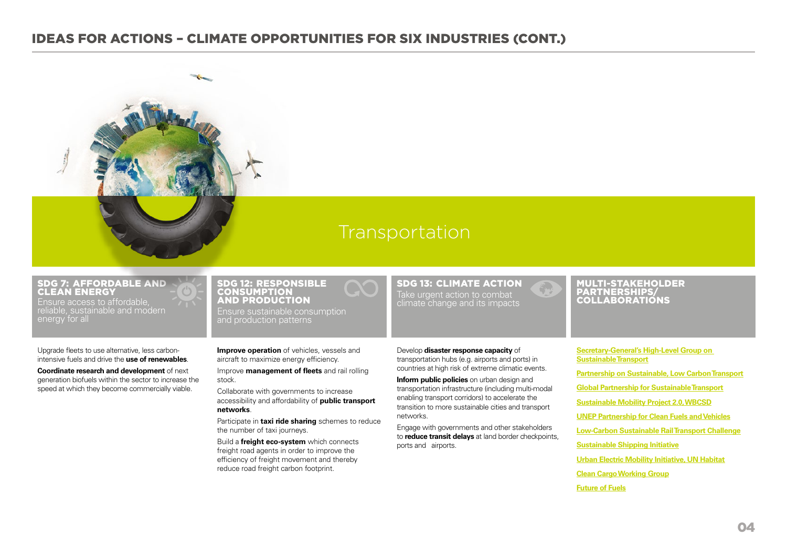

## Transportation

#### SDG 7: AFFORDABLE AND CLEAN ENERGY

Ensure access to affordable, reliable, sustainable and modern energy for all

Upgrade fleets to use alternative, less carbonintensive fuels and drive the **use of renewables**.

**Coordinate research and development** of next generation biofuels within the sector to increase the speed at which they become commercially viable.

#### SDG 12: RESPONSIBLE **CONSUMPTION** AND PRODUCTION

Ensure sustainable consumption and production patterns

**Improve operation** of vehicles, vessels and aircraft to maximize energy efficiency.

Improve **management of fleets** and rail rolling stock.

Collaborate with governments to increase accessibility and affordability of **public transport networks**.

Participate in **taxi ride sharing** schemes to reduce the number of taxi journeys.

Build a **freight eco-system** which connects freight road agents in order to improve the efficiency of freight movement and thereby reduce road freight carbon footprint.

SDG 13: CLIMATE ACTION Take urgent action to combat climate change and its impacts

Develop **disaster response capacity** of transportation hubs (e.g. airports and ports) in countries at high risk of extreme climatic events.

**Inform public policies** on urban design and transportation infrastructure (including multi-modal enabling transport corridors) to accelerate the transition to more sustainable cities and transport networks.

Engage with governments and other stakeholders to **reduce transit delays** at land border checkpoints, ports and airports.

#### MULTI-STAKEHOLDER PARTNERSHIPS/ COLLABORATIONS

**[Secretary-General's High-Level Group on](https://sustainabledevelopment.un.org/topics/sustainabletransport/highleveladvisorygroup)  [Sustainable Transport](https://sustainabledevelopment.un.org/topics/sustainabletransport/highleveladvisorygroup)**

**[Partnership on Sustainable, Low Carbon Transport](http://www.slocat.net/)**

**[Global Partnership for Sustainable Transport](http://www.iru.org/cms-filesystem-action/mix_pdf/vienna.pdf)**

**[Sustainable Mobility Project 2.0, WBCSD](http://www.wbcsd.org/work-program/sector-projects/mobility.aspx)**

**[UNEP Partnership for Clean Fuels and Vehicles](http://www.unep.org/transport/new/pcfv/)**

**[Low-Carbon Sustainable Rail Transport Challenge](http://slocat.net/international-union-railways-initiative)**

**[Sustainable Shipping Initiative](http://ssi2040.org/)**

**[Urban Electric Mobility Initiative, UN Habitat](http://slocat.net/urban-electronic-mobility-vehicles-initiative)**

**[Clean Cargo Working Group](http://www.bsr.org/files/2014/bsr-collaborative-initiatives-member-benefits.pdf)**

**[Future of Fuels](http://www.bsr.org/files/2014/bsr-collaborative-initiatives-member-benefits.pdf)**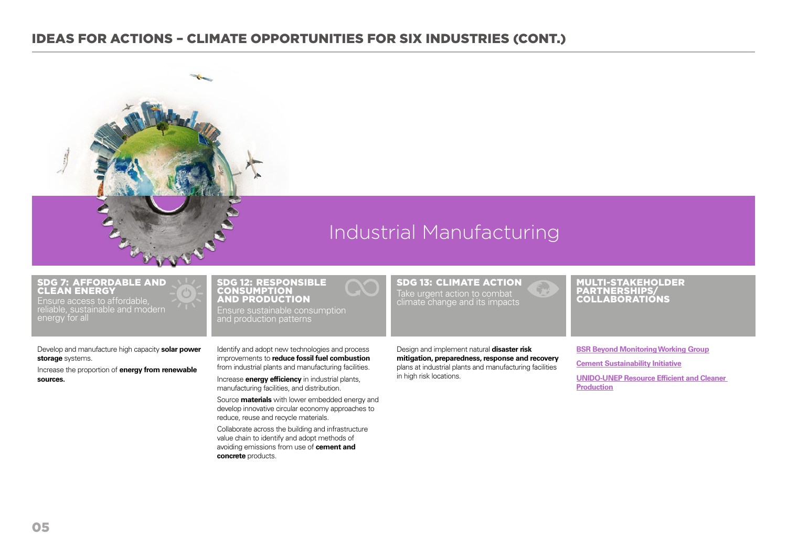

## Industrial Manufacturing

#### SDG 7: AFFORDABLE AND CLEAN ENERGY Ensure access to affordable,

reliable, sustainable and modern energy for all

Develop and manufacture high capacity **solar power storage** systems.

Increase the proportion of **energy from renewable sources.**

#### SDG 12: RESPONSIBLE **CONSUMPTION** AND PRODUCTION

Ensure sustainable consumption and production patterns

Identify and adopt new technologies and process improvements to **reduce fossil fuel combustion** from industrial plants and manufacturing facilities. Increase **energy efficiency** in industrial plants,

manufacturing facilities, and distribution. Source **materials** with lower embedded energy and

develop innovative circular economy approaches to reduce, reuse and recycle materials.

Collaborate across the building and infrastructure value chain to identify and adopt methods of avoiding emissions from use of **cement and concrete** products.

Take urgent action to combat climate change and its impacts

SDG 13: CLIMATE ACTION

#### Design and implement natural **disaster risk mitigation, preparedness, response and recovery** plans at industrial plants and manufacturing facilities in high risk locations.

#### MULTI-STAKEHOLDER PARTNERSHIPS/ COLLABORATIONS

**[BSR Beyond Monitoring Working Group](http://www.bsr.org/membership/working-groups/beyond-monitoring.cfm) [Cement Sustainability Initiative](http://wbcsdcement.org/) [UNIDO-UNEP Resource Efficient and Cleaner](http://www.unido.org/en/what-we-do/environment/resource-efficient-and-low-carbon-industrial-production/cp/resource-efficient-and-cleaner-production.html?ucg_no64=1%2FDATA1%2FVacancy%2Fdata%2Ffileadmin%2FDATA1%2FVacancy%2Fdata%2Fdata%2Ffileadmin%2Fmedia%2Fdocuments%2Fpdf%2FProcurement%2FNotices%2F1202%2F716000792%2Ffileadmin%2Fuser_media%2FUNIDO_Header_Site%2FAbout%2Findex.php)  [Production](http://www.unido.org/en/what-we-do/environment/resource-efficient-and-low-carbon-industrial-production/cp/resource-efficient-and-cleaner-production.html?ucg_no64=1%2FDATA1%2FVacancy%2Fdata%2Ffileadmin%2FDATA1%2FVacancy%2Fdata%2Fdata%2Ffileadmin%2Fmedia%2Fdocuments%2Fpdf%2FProcurement%2FNotices%2F1202%2F716000792%2Ffileadmin%2Fuser_media%2FUNIDO_Header_Site%2FAbout%2Findex.php)**

05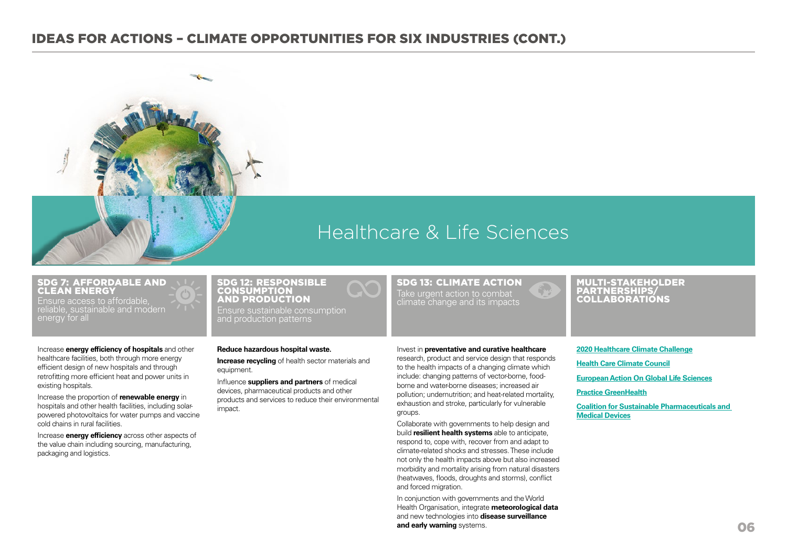

## Healthcare & Life Sciences

#### SDG 7: AFFORDABLE AND CLEAN ENERGY

Ensure access to affordable, reliable, sustainable and modern energy for all

Increase **energy efficiency of hospitals** and other healthcare facilities, both through more energy efficient design of new hospitals and through retrofitting more efficient heat and power units in existing hospitals.

Increase the proportion of **renewable energy** in hospitals and other health facilities, including solarpowered photovoltaics for water pumps and vaccine cold chains in rural facilities.

Increase **energy efficiency** across other aspects of the value chain including sourcing, manufacturing, packaging and logistics.

#### SDG 12: RESPONSIBLE **CONSUMPTION** AND PRODUCTION

Ensure sustainable consumption

#### **Reduce hazardous hospital waste.**

**Increase recycling** of health sector materials and equipment.

Influence **suppliers and partners** of medical devices, pharmaceutical products and other products and services to reduce their environmental impact.

#### SDG 13: CLIMATE ACTION Take urgent action to combat climate change and its impacts

#### Invest in **preventative and curative healthcare**

research, product and service design that responds to the health impacts of a changing climate which include: changing patterns of vector-borne, foodborne and water-borne diseases; increased air pollution; undernutrition; and heat-related mortality, exhaustion and stroke, particularly for vulnerable groups.

Collaborate with governments to help design and build **resilient health systems** able to anticipate, respond to, cope with, recover from and adapt to climate-related shocks and stresses. These include not only the health impacts above but also increased morbidity and mortality arising from natural disasters (heatwaves, floods, droughts and storms), conflict and forced migration.

In conjunction with governments and the World Health Organisation, integrate **meteorological data** and new technologies into **disease surveillance and early warning** systems.

#### MULTI-STAKEHOLDER PARTNERSHIPS/ COLLABORATIONS

**[2020 Healthcare Climate Challenge](http://greenhospitals.net/en/2020hcccpledge/) [Health Care Climate Council](https://noharm-uscanada.org/healthcareclimatecouncil) [European Action On Global Life Sciences](http://www.efb-central.org/eagles/) [Practice GreenHealth](https://practicegreenhealth.org/)**

**[Coalition for Sustainable Pharmaceuticals and](https://business.un.org/en/commitments/3900)  [Medical Devices](https://business.un.org/en/commitments/3900)**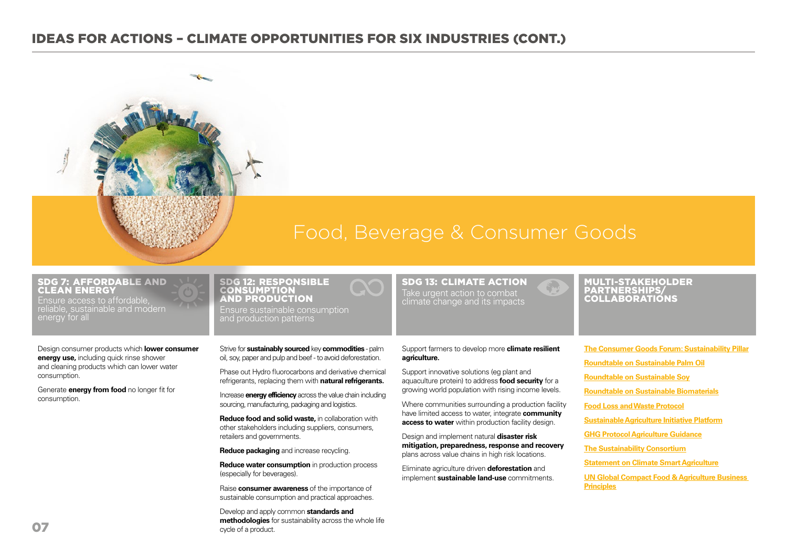

## Food, Beverage & Consumer Goods

#### SDG 7: AFFORDABLE AND CLEAN ENERGY

Ensure access to affordable, reliable, sustainable and modern energy for all

Design consumer products which **lower consumer energy use,** including quick rinse shower and cleaning products which can lower water consumption.

Generate **energy from food** no longer fit for consumption.

#### SDG 12: RESPONSIBLE **CONSUMPTION** AND PRODUCTION Ensure sustainable consumption and production patterns

Strive for **sustainably sourced** key **commodities** - palm oil, soy, paper and pulp and beef - to avoid deforestation.

Phase out Hydro fluorocarbons and derivative chemical refrigerants, replacing them with **natural refrigerants.**

Increase **energy efficiency** across the value chain including sourcing, manufacturing, packaging and logistics.

**Reduce food and solid waste,** in collaboration with other stakeholders including suppliers, consumers, retailers and governments.

**Reduce packaging** and increase recycling.

**Reduce water consumption** in production process (especially for beverages).

Raise **consumer awareness** of the importance of sustainable consumption and practical approaches.

Develop and apply common **standards and methodologies** for sustainability across the whole life cycle of a product.

#### SDG 13: CLIMATE ACTION Take urgent action to combat climate change and its impacts

### Support farmers to develop more **climate resilient agriculture.**

Support innovative solutions (eg plant and aquaculture protein) to address **food security** for a growing world population with rising income levels.

Where communities surrounding a production facility have limited access to water, integrate **community access to water** within production facility design.

Design and implement natural **disaster risk mitigation, preparedness, response and recovery** plans across value chains in high risk locations.

Eliminate agriculture driven **deforestation** and implement **sustainable land-use** commitments.

MULTI-STAKEHOLDER PARTNERSHIPS/ COLLABORATIONS

**[The Consumer Goods Forum: Sustainability Pillar](http://www.theconsumergoodsforum.com/sustainability-about-pillar) [Roundtable on Sustainable Palm Oil](http://www.rspo.org/about) [Roundtable on Sustainable Soy](http://wwf.panda.org/what_we_do/footprint/agriculture/soy/responsiblesoy/soy_roundtable/) [Roundtable on Sustainable Biomaterials](http://rsb.org/) [Food Loss and Waste Protocol](http://www.wri.org/our-work/project/food-loss-waste-protocol) [Sustainable Agriculture Initiative Platform](http://www.saiplatform.org/) [GHG Protocol Agriculture Guidance](http://ghgprotocol.org/standards/agriculture-guidance) [The Sustainability Consortium](https://www.sustainabilityconsortium.org/) [Statement on Climate Smart Agriculture](https://inra-dam-front-resources-cdn.brainsonic.com/ressources/afile/280829-1209a-resource-declaration-de-montpellier.html) [UN Global Compact Food & Agriculture Business](https://www.unglobalcompact.org/take-action/action/food)  [Principles](https://www.unglobalcompact.org/take-action/action/food)**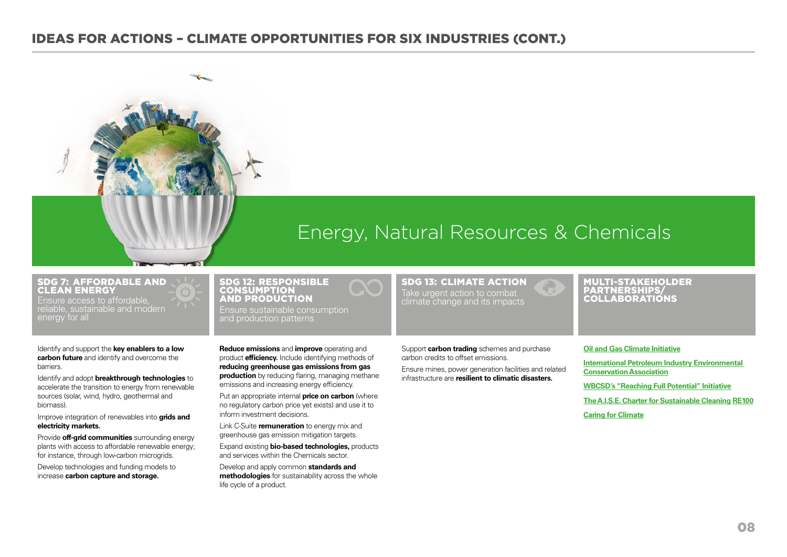

#### SDG 7: AFFORDABLE AND CLEAN ENERGY

Ensure access to affordable, reliable, sustainable and modern energy for all

Identify and support the **key enablers to a low carbon future** and identify and overcome the barriers.

Identify and adopt **breakthrough technologies** to accelerate the transition to energy from renewable sources (solar, wind, hydro, geothermal and biomass).

Improve integration of renewables into **grids and electricity markets.** 

Provide **off-grid communities** surrounding energy plants with access to affordable renewable energy; for instance, through low-carbon microgrids.

Develop technologies and funding models to increase **carbon capture and storage.** 

#### SDG 12: RESPONSIBLE **CONSUMPTION** AND PRODUCTION Ensure sustainable consumption and production patterns

**Reduce emissions** and **improve** operating and product **efficiency.** Include identifying methods of **reducing greenhouse gas emissions from gas production** by reducing flaring, managing methane emissions and increasing energy efficiency.

Put an appropriate internal **price on carbon** (where no regulatory carbon price yet exists) and use it to inform investment decisions.

Link C-Suite **remuneration** to energy mix and greenhouse gas emission mitigation targets.

Expand existing **bio-based technologies,** products and services within the Chemicals sector.

Develop and apply common **standards and methodologies** for sustainability across the whole life cycle of a product.

SDG 13: CLIMATE ACTION Take urgent action to combat climate change and its impacts

Energy, Natural Resources & Chemicals

#### MULTI-STAKEHOLDER PARTNERSHIPS/ COLLABORATIONS

Support **carbon trading** schemes and purchase carbon credits to offset emissions.

Ensure mines, power generation facilities and related infrastructure are **resilient to climatic disasters.**

#### **[Oil and Gas Climate Initiative](http://www.oilandgasclimateinitiative.com/)**

**[International Petroleum Industry Environmental](http://www.ipieca.org/)  [Conservation Association](http://www.ipieca.org/)**

**[WBCSD's "Reaching Full Potential" Initiative](http://www.wbcsd.org/chemicals.aspx) [The A.I.S.E. Charter for Sustainable Cleaning](http://www.sustainable-cleaning.com/en.home.orb) [RE100](http://there100.org/) [Caring for Climate](http://caringforclimate.org/)**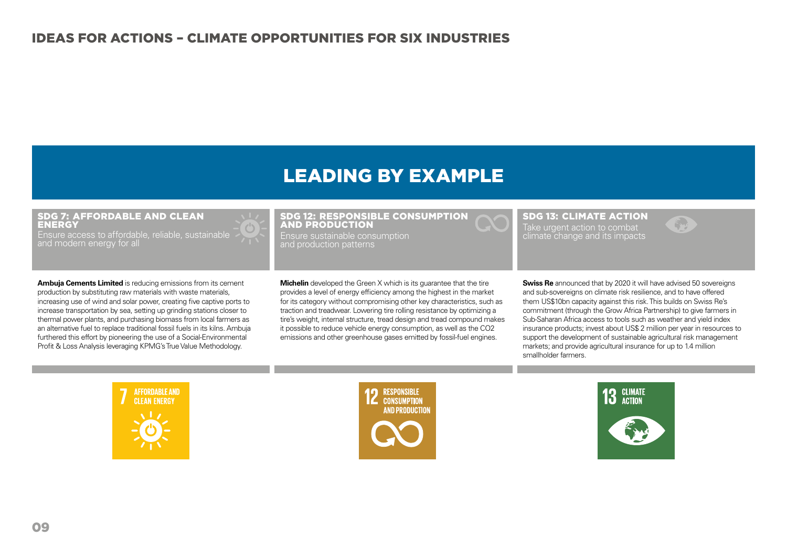## LEADING BY EXAMPLE

#### SDG 7: AFFORDABLE AND CLEAN **ENERGY**

Ensure access to affordable, reliable, sustainable and modern energy for all

**Ambuja Cements Limited** is reducing emissions from its cement production by substituting raw materials with waste materials, increasing use of wind and solar power, creating five captive ports to increase transportation by sea, setting up grinding stations closer to thermal power plants, and purchasing biomass from local farmers as an alternative fuel to replace traditional fossil fuels in its kilns. Ambuja furthered this effort by pioneering the use of a Social-Environmental Profit & Loss Analysis leveraging KPMG's True Value Methodology.

#### SDG 12: RESPONSIBLE CONSUMPTION AND PRODUCTION

Ensure sustainable consumption and production patterns

**Michelin** developed the Green X which is its quarantee that the tire provides a level of energy efficiency among the highest in the market for its category without compromising other key characteristics, such as traction and treadwear. Lowering tire rolling resistance by optimizing a tire's weight, internal structure, tread design and tread compound makes it possible to reduce vehicle energy consumption, as well as the CO2 emissions and other greenhouse gases emitted by fossil-fuel engines.

SDG 13: CLIMATE ACTION

Take urgent action to combat climate change and its impacts

**Swiss Re** announced that by 2020 it will have advised 50 sovereigns and sub-sovereigns on climate risk resilience, and to have offered them US\$10bn capacity against this risk. This builds on Swiss Re's commitment (through the Grow Africa Partnership) to give farmers in Sub-Saharan Africa access to tools such as weather and yield index insurance products; invest about US\$ 2 million per year in resources to support the development of sustainable agricultural risk management markets; and provide agricultural insurance for up to 1.4 million smallholder farmers.